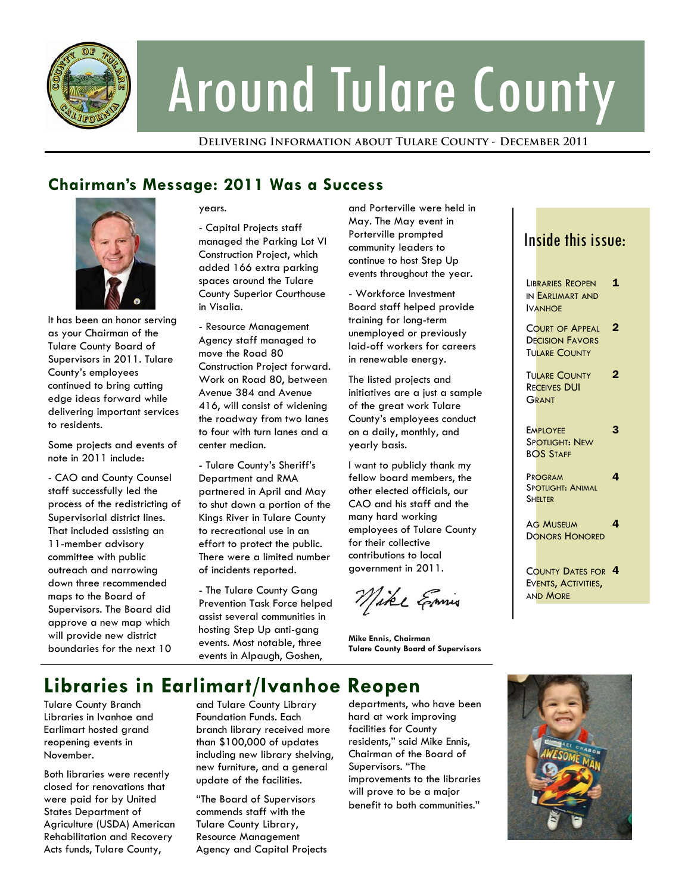

# Around Tulare County

**Delivering Information about Tulare County - December 2011** 

## **Chairman's Message: 2011 Was a Success**



It has been an honor serving as your Chairman of the Tulare County Board of Supervisors in 2011. Tulare County's employees continued to bring cutting edge ideas forward while delivering important services to residents.

Some projects and events of note in 2011 include:

- CAO and County Counsel staff successfully led the process of the redistricting of Supervisorial district lines. That included assisting an 11-member advisory committee with public outreach and narrowing down three recommended maps to the Board of Supervisors. The Board did approve a new map which will provide new district boundaries for the next 10

years.

- Capital Projects staff managed the Parking Lot VI Construction Project, which added 166 extra parking spaces around the Tulare County Superior Courthouse in Visalia.

- Resource Management Agency staff managed to move the Road 80 Construction Project forward. Work on Road 80, between Avenue 384 and Avenue 416, will consist of widening the roadway from two lanes to four with turn lanes and a center median.

- Tulare County's Sheriff's Department and RMA partnered in April and May to shut down a portion of the Kings River in Tulare County to recreational use in an effort to protect the public. There were a limited number of incidents reported.

- The Tulare County Gang Prevention Task Force helped assist several communities in hosting Step Up anti-gang events. Most notable, three events in Alpaugh, Goshen,

and Porterville were held in May. The May event in Porterville prompted community leaders to continue to host Step Up events throughout the year.

- Workforce Investment Board staff helped provide training for long-term unemployed or previously laid-off workers for careers in renewable energy.

The listed projects and initiatives are a just a sample of the great work Tulare County's employees conduct on a daily, monthly, and yearly basis.

I want to publicly thank my fellow board members, the other elected officials, our CAO and his staff and the many hard working employees of Tulare County for their collective contributions to local government in 2011.

Mike Emis

**Mike Ennis, Chairman Tulare County Board of Supervisors** 

# **Libraries in Earlimart/Ivanhoe Reopen**

Tulare County Branch Libraries in Ivanhoe and Earlimart hosted grand reopening events in November.

Both libraries were recently closed for renovations that were paid for by United States Department of Agriculture (USDA) American Rehabilitation and Recovery Acts funds, Tulare County,

and Tulare County Library Foundation Funds. Each branch library received more than \$100,000 of updates including new library shelving, new furniture, and a general update of the facilities.

"The Board of Supervisors commends staff with the Tulare County Library, Resource Management Agency and Capital Projects departments, who have been hard at work improving facilities for County residents," said Mike Ennis, Chairman of the Board of Supervisors. "The improvements to the libraries will prove to be a major benefit to both communities."

## Inside this issue:

LIBRARIES REOPEN IN EARLIMART AND IVANHOE 1 **COURT OF APPEAL DECISION FAVORS** TULARE COUNTY 2 **TULARE COUNTY** RECEIVES DUI **GRANT** 2 **EMPLOYEE** SPOTLIGHT: NEW BOS STAFF 3 PROGRAM SPOTLIGHT: ANIMAL **SHELTER** 4 AG MUSEUM DONORS HONORED 4 COUNTY DATES FOR 4 EVENTS, ACTIVITIES, **AND MORE** 

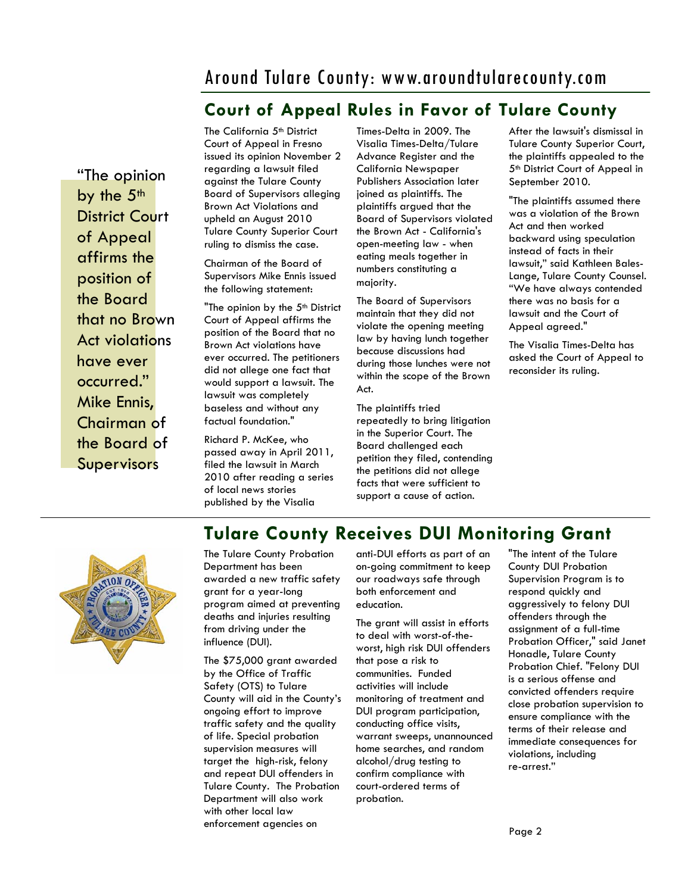## Around Tulare County: www.aroundtularecounty.com

## **Court of Appeal Rules in Favor of Tulare County**

"The opinion by the 5<sup>th</sup> District Court of Appeal affirms the position of the Board that no Brown Act violations have ever occurred." Mike Ennis, Chairman of the Board of **Supervisors** 

The California 5<sup>th</sup> District Court of Appeal in Fresno issued its opinion November 2 regarding a lawsuit filed against the Tulare County Board of Supervisors alleging Brown Act Violations and upheld an August 2010 Tulare County Superior Court ruling to dismiss the case.

Chairman of the Board of Supervisors Mike Ennis issued the following statement:

"The opinion by the 5<sup>th</sup> District Court of Appeal affirms the position of the Board that no Brown Act violations have ever occurred. The petitioners did not allege one fact that would support a lawsuit. The lawsuit was completely baseless and without any factual foundation."

Richard P. McKee, who passed away in April 2011, filed the lawsuit in March 2010 after reading a series of local news stories published by the Visalia

Times-Delta in 2009. The Visalia Times-Delta/Tulare Advance Register and the California Newspaper Publishers Association later joined as plaintiffs. The plaintiffs argued that the Board of Supervisors violated the Brown Act - California's open-meeting law - when eating meals together in numbers constituting a majority.

The Board of Supervisors maintain that they did not violate the opening meeting law by having lunch together because discussions had during those lunches were not within the scope of the Brown Act.

The plaintiffs tried repeatedly to bring litigation in the Superior Court. The Board challenged each petition they filed, contending the petitions did not allege facts that were sufficient to support a cause of action.

After the lawsuit's dismissal in Tulare County Superior Court, the plaintiffs appealed to the 5<sup>th</sup> District Court of Appeal in September 2010.

"The plaintiffs assumed there was a violation of the Brown Act and then worked backward using speculation instead of facts in their lawsuit," said Kathleen Bales-Lange, Tulare County Counsel. "We have always contended there was no basis for a lawsuit and the Court of Appeal agreed."

The Visalia Times-Delta has asked the Court of Appeal to reconsider its ruling.



#### The Tulare County Probation Department has been awarded a new traffic safety grant for a year-long program aimed at preventing deaths and injuries resulting from driving under the influence (DUI).

The \$75,000 grant awarded by the Office of Traffic Safety (OTS) to Tulare County will aid in the County's ongoing effort to improve traffic safety and the quality of life. Special probation supervision measures will target the high-risk, felony and repeat DUI offenders in Tulare County. The Probation Department will also work with other local law enforcement agencies on

anti-DUI efforts as part of an on-going commitment to keep our roadways safe through both enforcement and education.

**Tulare County Receives DUI Monitoring Grant** 

The grant will assist in efforts to deal with worst-of-theworst, high risk DUI offenders that pose a risk to communities. Funded activities will include monitoring of treatment and DUI program participation, conducting office visits, warrant sweeps, unannounced home searches, and random alcohol/drug testing to confirm compliance with court-ordered terms of probation.

"The intent of the Tulare County DUI Probation Supervision Program is to respond quickly and aggressively to felony DUI offenders through the assignment of a full-time Probation Officer," said Janet Honadle, Tulare County Probation Chief. "Felony DUI is a serious offense and convicted offenders require close probation supervision to ensure compliance with the terms of their release and immediate consequences for violations, including re-arrest."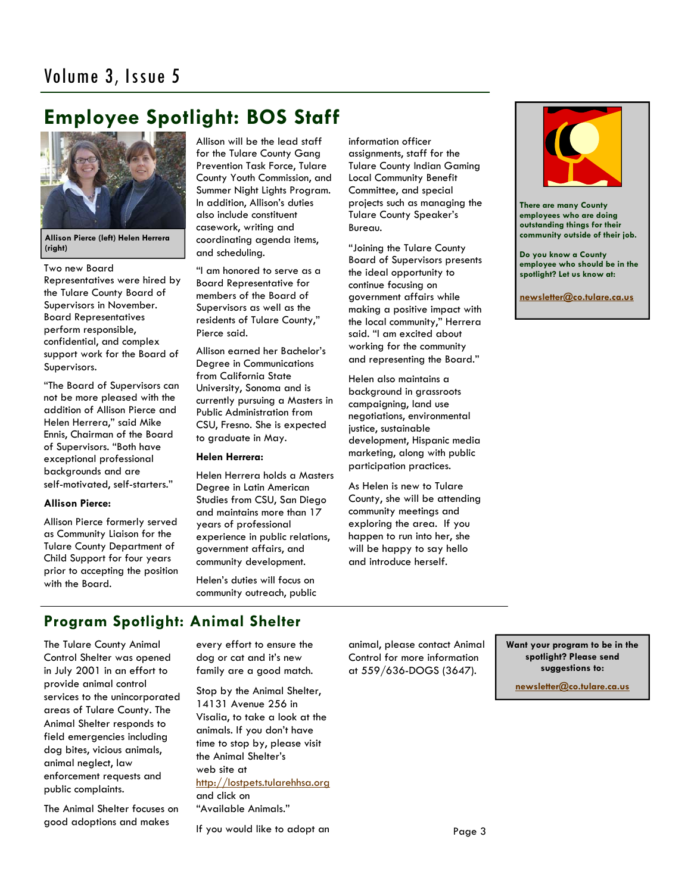## **Employee Spotlight: BOS Staff**



**Allison Pierce (left) Helen Herrera (right)** 

Two new Board

Representatives were hired by the Tulare County Board of Supervisors in November. Board Representatives perform responsible, confidential, and complex support work for the Board of Supervisors.

"The Board of Supervisors can not be more pleased with the addition of Allison Pierce and Helen Herrera," said Mike Ennis, Chairman of the Board of Supervisors. "Both have exceptional professional backgrounds and are self-motivated, self-starters."

#### **Allison Pierce:**

Allison Pierce formerly served as Community Liaison for the Tulare County Department of Child Support for four years prior to accepting the position with the Board.

Allison will be the lead staff for the Tulare County Gang Prevention Task Force, Tulare County Youth Commission, and Summer Night Lights Program. In addition, Allison's duties also include constituent casework, writing and coordinating agenda items, and scheduling.

"I am honored to serve as a Board Representative for members of the Board of Supervisors as well as the residents of Tulare County," Pierce said.

Allison earned her Bachelor's Degree in Communications from California State University, Sonoma and is currently pursuing a Masters in Public Administration from CSU, Fresno. She is expected to graduate in May.

#### **Helen Herrera:**

Helen Herrera holds a Masters Degree in Latin American Studies from CSU, San Diego and maintains more than 17 years of professional experience in public relations, government affairs, and community development.

Helen's duties will focus on community outreach, public information officer assignments, staff for the Tulare County Indian Gaming Local Community Benefit Committee, and special projects such as managing the Tulare County Speaker's Bureau.

"Joining the Tulare County Board of Supervisors presents the ideal opportunity to continue focusing on government affairs while making a positive impact with the local community," Herrera said. "I am excited about working for the community and representing the Board."

Helen also maintains a background in grassroots campaigning, land use negotiations, environmental justice, sustainable development, Hispanic media marketing, along with public participation practices.

As Helen is new to Tulare County, she will be attending community meetings and exploring the area. If you happen to run into her, she will be happy to say hello and introduce herself.



**There are many County employees who are doing outstanding things for their community outside of their job.** 

**Do you know a County employee who should be in the spotlight? Let us know at:** 

**newsletter@co.tulare.ca.us**

### **Program Spotlight: Animal Shelter**

The Tulare County Animal Control Shelter was opened in July 2001 in an effort to provide animal control services to the unincorporated areas of Tulare County. The Animal Shelter responds to field emergencies including dog bites, vicious animals, animal neglect, law enforcement requests and public complaints.

The Animal Shelter focuses on good adoptions and makes

every effort to ensure the dog or cat and it's new family are a good match.

Stop by the Animal Shelter, 14131 Avenue 256 in Visalia, to take a look at the animals. If you don't have time to stop by, please visit the Animal Shelter's web site at http://lostpets.tularehhsa.org and click on "Available Animals."

If you would like to adopt an

animal, please contact Animal Control for more information at 559/636-DOGS (3647).

**Want your program to be in the spotlight? Please send suggestions to:** 

**newsletter@co.tulare.ca.us**